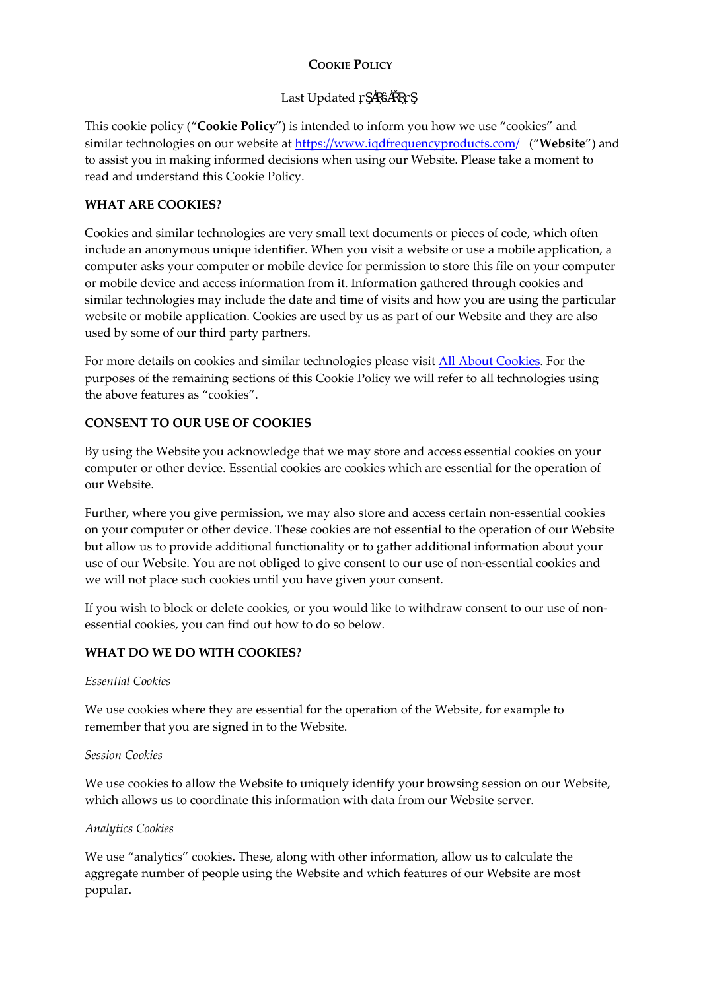# **COOKIE POLICY**

## Last Updated

This cookie policy ("**Cookie Policy**") is intended to inform you how we use "cookies" and similar technologies on our website at https[://www.iqdfrequencyproducts.com](https://www.iqdfrequencyproducts.com/)/ ("**Website**") and to assist you in making informed decisions when using our Website. Please take a moment to read and understand this Cookie Policy.

### **WHAT ARE COOKIES?**

Cookies and similar technologies are very small text documents or pieces of code, which often include an anonymous unique identifier. When you visit a website or use a mobile application, a computer asks your computer or mobile device for permission to store this file on your computer or mobile device and access information from it. Information gathered through cookies and similar technologies may include the date and time of visits and how you are using the particular website or mobile application. Cookies are used by us as part of our Website and they are also used by some of our third party partners.

For more details on cookies and similar technologies please visit All About [Cookies.](http://www.allaboutcookies.org/) For the purposes of the remaining sections of this Cookie Policy we will refer to all technologies using the above features as "cookies".

## **CONSENT TO OUR USE OF COOKIES**

By using the Website you acknowledge that we may store and access essential cookies on your computer or other device. Essential cookies are cookies which are essential for the operation of our Website.

Further, where you give permission, we may also store and access certain non-essential cookies on your computer or other device. These cookies are not essential to the operation of our Website but allow us to provide additional functionality or to gather additional information about your use of our Website. You are not obliged to give consent to our use of non‐essential cookies and we will not place such cookies until you have given your consent.

If you wish to block or delete cookies, or you would like to withdraw consent to our use of nonessential cookies, you can find out how to do so below.

# **WHAT DO WE DO WITH COOKIES?**

#### *Essential Cookies*

We use cookies where they are essential for the operation of the Website, for example to remember that you are signed in to the Website.

#### *Session Cookies*

We use cookies to allow the Website to uniquely identify your browsing session on our Website, which allows us to coordinate this information with data from our Website server.

#### *Analytics Cookies*

We use "analytics" cookies. These, along with other information, allow us to calculate the aggregate number of people using the Website and which features of our Website are most popular.